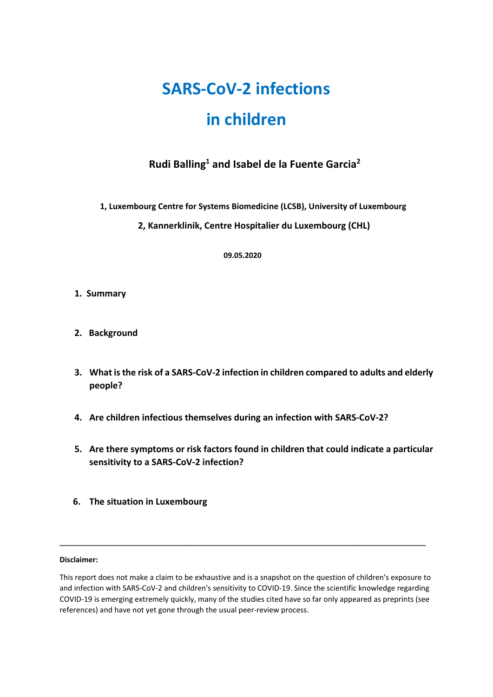# **SARS-CoV-2 infections**

# **in children**

# **Rudi Balling1 and Isabel de la Fuente Garcia2**

 **1, Luxembourg Centre for Systems Biomedicine (LCSB), University of Luxembourg**

 **2, Kannerklinik, Centre Hospitalier du Luxembourg (CHL)**

 **09.05.2020**

- **1. Summary**
- **2. Background**
- **3. What is the risk of a SARS-CoV-2 infection in children compared to adults and elderly people?**
- **4. Are children infectious themselves during an infection with SARS-CoV-2?**
- **5. Are there symptoms or risk factors found in children that could indicate a particular sensitivity to a SARS-CoV-2 infection?**
- **6. The situation in Luxembourg**

#### **Disclaimer:**

This report does not make a claim to be exhaustive and is a snapshot on the question of children's exposure to and infection with SARS-CoV-2 and children's sensitivity to COVID-19. Since the scientific knowledge regarding COVID-19 is emerging extremely quickly, many of the studies cited have so far only appeared as preprints (see references) and have not yet gone through the usual peer-review process.

\_\_\_\_\_\_\_\_\_\_\_\_\_\_\_\_\_\_\_\_\_\_\_\_\_\_\_\_\_\_\_\_\_\_\_\_\_\_\_\_\_\_\_\_\_\_\_\_\_\_\_\_\_\_\_\_\_\_\_\_\_\_\_\_\_\_\_\_\_\_\_\_\_\_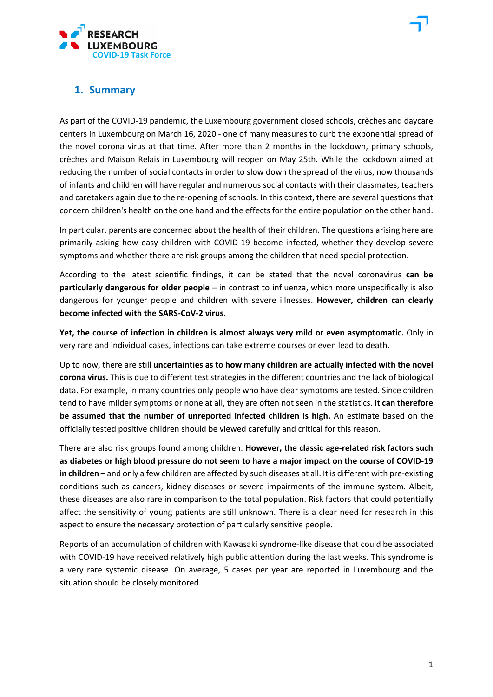

### **1. Summary**

As part of the COVID-19 pandemic, the Luxembourg government closed schools, crèches and daycare centers in Luxembourg on March 16, 2020 - one of many measures to curb the exponential spread of the novel corona virus at that time. After more than 2 months in the lockdown, primary schools, crèches and Maison Relais in Luxembourg will reopen on May 25th. While the lockdown aimed at reducing the number of social contacts in order to slow down the spread of the virus, now thousands of infants and children will have regular and numerous social contacts with their classmates, teachers and caretakers again due to the re-opening of schools. In this context, there are several questions that concern children's health on the one hand and the effects for the entire population on the other hand.

In particular, parents are concerned about the health of their children. The questions arising here are primarily asking how easy children with COVID-19 become infected, whether they develop severe symptoms and whether there are risk groups among the children that need special protection.

According to the latest scientific findings, it can be stated that the novel coronavirus **can be particularly dangerous for older people** – in contrast to influenza, which more unspecifically is also dangerous for younger people and children with severe illnesses. **However, children can clearly become infected with the SARS-CoV-2 virus.**

**Yet, the course of infection in children is almost always very mild or even asymptomatic.** Only in very rare and individual cases, infections can take extreme courses or even lead to death.

Up to now, there are still **uncertainties as to how many children are actually infected with the novel corona virus.** This is due to different test strategies in the different countries and the lack of biological data. For example, in many countries only people who have clear symptoms are tested. Since children tend to have milder symptoms or none at all, they are often not seen in the statistics. **It can therefore be assumed that the number of unreported infected children is high.** An estimate based on the officially tested positive children should be viewed carefully and critical for this reason.

There are also risk groups found among children. **However, the classic age-related risk factors such as diabetes or high blood pressure do not seem to have a major impact on the course of COVID-19 in children** – and only a few children are affected by such diseases at all. It is different with pre-existing conditions such as cancers, kidney diseases or severe impairments of the immune system. Albeit, these diseases are also rare in comparison to the total population. Risk factors that could potentially affect the sensitivity of young patients are still unknown. There is a clear need for research in this aspect to ensure the necessary protection of particularly sensitive people.

Reports of an accumulation of children with Kawasaki syndrome-like disease that could be associated with COVID-19 have received relatively high public attention during the last weeks. This syndrome is a very rare systemic disease. On average, 5 cases per year are reported in Luxembourg and the situation should be closely monitored.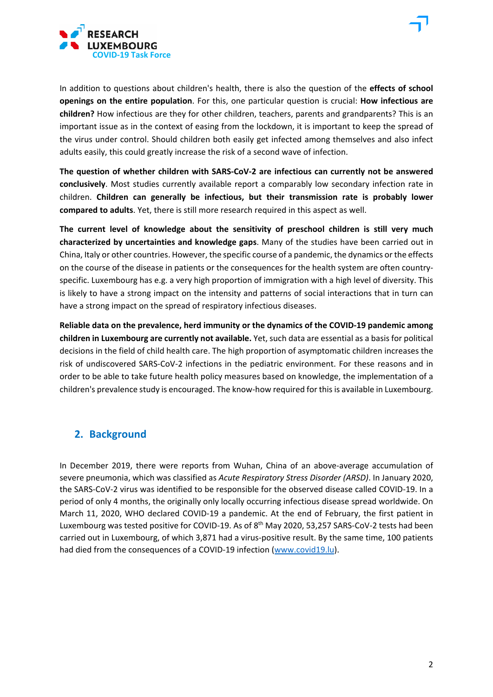



**The question of whether children with SARS-CoV-2 are infectious can currently not be answered conclusively**. Most studies currently available report a comparably low secondary infection rate in children. **Children can generally be infectious, but their transmission rate is probably lower compared to adults**. Yet, there is still more research required in this aspect as well.

**The current level of knowledge about the sensitivity of preschool children is still very much characterized by uncertainties and knowledge gaps**. Many of the studies have been carried out in China, Italy or other countries. However, the specific course of a pandemic, the dynamics or the effects on the course of the disease in patients or the consequences for the health system are often countryspecific. Luxembourg has e.g. a very high proportion of immigration with a high level of diversity. This is likely to have a strong impact on the intensity and patterns of social interactions that in turn can have a strong impact on the spread of respiratory infectious diseases.

**Reliable data on the prevalence, herd immunity or the dynamics of the COVID-19 pandemic among children in Luxembourg are currently not available.** Yet, such data are essential as a basis for political decisions in the field of child health care. The high proportion of asymptomatic children increases the risk of undiscovered SARS-CoV-2 infections in the pediatric environment. For these reasons and in order to be able to take future health policy measures based on knowledge, the implementation of a children's prevalence study is encouraged. The know-how required for this is available in Luxembourg.

### **2. Background**

In December 2019, there were reports from Wuhan, China of an above-average accumulation of severe pneumonia, which was classified as *Acute Respiratory Stress Disorder (ARSD)*. In January 2020, the SARS-CoV-2 virus was identified to be responsible for the observed disease called COVID-19. In a period of only 4 months, the originally only locally occurring infectious disease spread worldwide. On March 11, 2020, WHO declared COVID-19 a pandemic. At the end of February, the first patient in Luxembourg was tested positive for COVID-19. As of 8<sup>th</sup> May 2020, 53,257 SARS-CoV-2 tests had been carried out in Luxembourg, of which 3,871 had a virus-positive result. By the same time, 100 patients had died from the consequences of a COVID-19 infection [\(www.covid19.lu\)](http://www.covid19.lu/).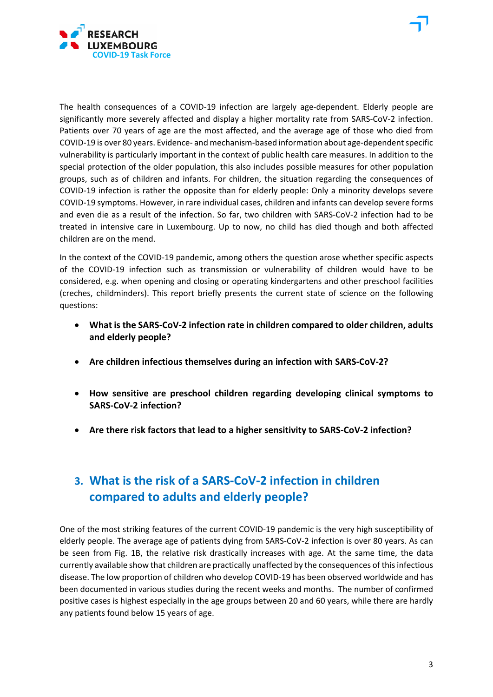

The health consequences of a COVID-19 infection are largely age-dependent. Elderly people are significantly more severely affected and display a higher mortality rate from SARS-CoV-2 infection. Patients over 70 years of age are the most affected, and the average age of those who died from COVID-19 is over 80 years. Evidence- and mechanism-based information about age-dependent specific vulnerability is particularly important in the context of public health care measures. In addition to the special protection of the older population, this also includes possible measures for other population groups, such as of children and infants. For children, the situation regarding the consequences of COVID-19 infection is rather the opposite than for elderly people: Only a minority develops severe COVID-19 symptoms. However, in rare individual cases, children and infants can develop severe forms and even die as a result of the infection. So far, two children with SARS-CoV-2 infection had to be treated in intensive care in Luxembourg. Up to now, no child has died though and both affected children are on the mend.

In the context of the COVID-19 pandemic, among others the question arose whether specific aspects of the COVID-19 infection such as transmission or vulnerability of children would have to be considered, e.g. when opening and closing or operating kindergartens and other preschool facilities (creches, childminders). This report briefly presents the current state of science on the following questions:

- **What is the SARS-CoV-2 infection rate in children compared to older children, adults and elderly people?**
- **Are children infectious themselves during an infection with SARS-CoV-2?**
- **How sensitive are preschool children regarding developing clinical symptoms to SARS-CoV-2 infection?**
- **Are there risk factors that lead to a higher sensitivity to SARS-CoV-2 infection?**

# **3. What is the risk of a SARS-CoV-2 infection in children compared to adults and elderly people?**

One of the most striking features of the current COVID-19 pandemic is the very high susceptibility of elderly people. The average age of patients dying from SARS-CoV-2 infection is over 80 years. As can be seen from Fig. 1B, the relative risk drastically increases with age. At the same time, the data currently available show that children are practically unaffected by the consequences of this infectious disease. The low proportion of children who develop COVID-19 has been observed worldwide and has been documented in various studies during the recent weeks and months. The number of confirmed positive cases is highest especially in the age groups between 20 and 60 years, while there are hardly any patients found below 15 years of age.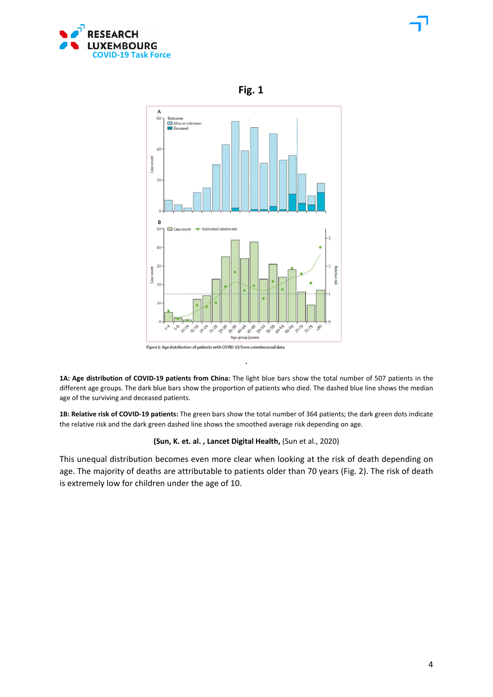



 **Fig. 1** 

Figure 1: Age distribution of patients with COVID-19 from crowdsourced data

**1A: Age distribution of COVID-19 patients from China:** The light blue bars show the total number of 507 patients in the different age groups. The dark blue bars show the proportion of patients who died. The dashed blue line shows the median age of the surviving and deceased patients.

**.**

**1B: Relative risk of COVID-19 patients:** The green bars show the total number of 364 patients; the dark green dots indicate the relative risk and the dark green dashed line shows the smoothed average risk depending on age.

#### **(Sun, K. et. al. , Lancet Digital Health,** (Sun et al., 2020)

This unequal distribution becomes even more clear when looking at the risk of death depending on age. The majority of deaths are attributable to patients older than 70 years (Fig. 2). The risk of death is extremely low for children under the age of 10.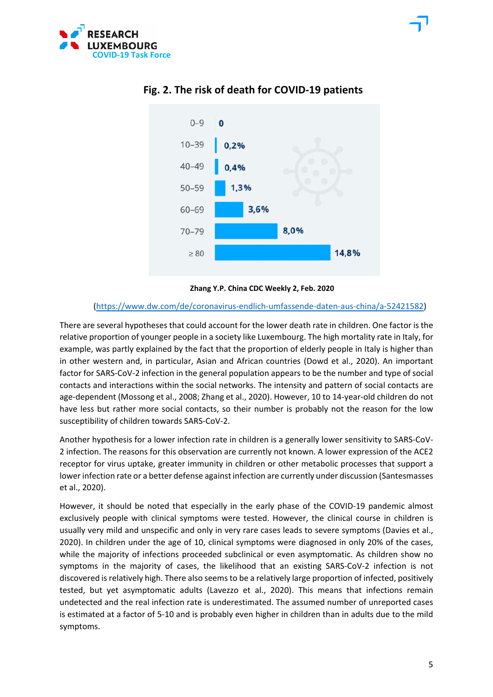



### **Fig. 2. The risk of death for COVID-19 patients**

**Zhang Y.P. China CDC Weekly 2, Feb. 2020**

#### [\(https://www.dw.com/de/coronavirus-endlich-umfassende-daten-aus-china/a-52421582\)](https://www.dw.com/de/coronavirus-endlich-umfassende-daten-aus-china/a-52421582)

There are several hypotheses that could account for the lower death rate in children. One factor is the relative proportion of younger people in a society like Luxembourg. The high mortality rate in Italy, for example, was partly explained by the fact that the proportion of elderly people in Italy is higher than in other western and, in particular, Asian and African countries (Dowd et al., 2020). An important factor for SARS-CoV-2 infection in the general population appears to be the number and type of social contacts and interactions within the social networks. The intensity and pattern of social contacts are age-dependent (Mossong et al., 2008; Zhang et al., 2020). However, 10 to 14-year-old children do not have less but rather more social contacts, so their number is probably not the reason for the low susceptibility of children towards SARS-CoV-2.

Another hypothesis for a lower infection rate in children is a generally lower sensitivity to SARS-CoV-2 infection. The reasons for this observation are currently not known. A lower expression of the ACE2 receptor for virus uptake, greater immunity in children or other metabolic processes that support a lower infection rate or a better defense against infection are currently under discussion (Santesmasses et al., 2020).

However, it should be noted that especially in the early phase of the COVID-19 pandemic almost exclusively people with clinical symptoms were tested. However, the clinical course in children is usually very mild and unspecific and only in very rare cases leads to severe symptoms (Davies et al., 2020). In children under the age of 10, clinical symptoms were diagnosed in only 20% of the cases, while the majority of infections proceeded subclinical or even asymptomatic. As children show no symptoms in the majority of cases, the likelihood that an existing SARS-CoV-2 infection is not discovered is relatively high. There also seems to be a relatively large proportion of infected, positively tested, but yet asymptomatic adults (Lavezzo et al., 2020). This means that infections remain undetected and the real infection rate is underestimated. The assumed number of unreported cases is estimated at a factor of 5-10 and is probably even higher in children than in adults due to the mild symptoms.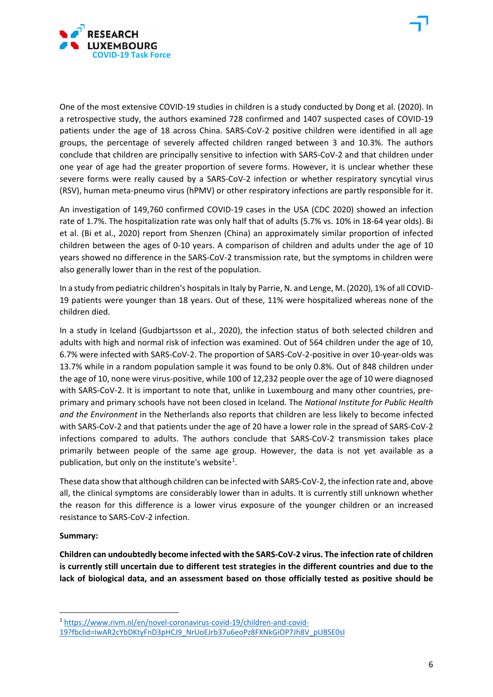

One of the most extensive COVID-19 studies in children is a study conducted by Dong et al. (2020). In a retrospective study, the authors examined 728 confirmed and 1407 suspected cases of COVID-19 patients under the age of 18 across China. SARS-CoV-2 positive children were identified in all age groups, the percentage of severely affected children ranged between 3 and 10.3%. The authors conclude that children are principally sensitive to infection with SARS-CoV-2 and that children under one year of age had the greater proportion of severe forms. However, it is unclear whether these severe forms were really caused by a SARS-CoV-2 infection or whether respiratory syncytial virus (RSV), human meta-pneumo virus (hPMV) or other respiratory infections are partly responsible for it.

An investigation of 149,760 confirmed COVID-19 cases in the USA (CDC 2020) showed an infection rate of 1.7%. The hospitalization rate was only half that of adults (5.7% vs. 10% in 18-64 year olds). Bi et al. (Bi et al., 2020) report from Shenzen (China) an approximately similar proportion of infected children between the ages of 0-10 years. A comparison of children and adults under the age of 10 years showed no difference in the SARS-CoV-2 transmission rate, but the symptoms in children were also generally lower than in the rest of the population.

In a study from pediatric children's hospitals in Italy by Parrie, N. and Lenge, M. (2020), 1% of all COVID-19 patients were younger than 18 years. Out of these, 11% were hospitalized whereas none of the children died.

In a study in Iceland (Gudbjartsson et al., 2020), the infection status of both selected children and adults with high and normal risk of infection was examined. Out of 564 children under the age of 10, 6.7% were infected with SARS-CoV-2. The proportion of SARS-CoV-2-positive in over 10-year-olds was 13.7% while in a random population sample it was found to be only 0.8%. Out of 848 children under the age of 10, none were virus-positive, while 100 of 12,232 people over the age of 10 were diagnosed with SARS-CoV-2. It is important to note that, unlike in Luxembourg and many other countries, preprimary and primary schools have not been closed in Iceland. The *National Institute for Public Health and the Environment* in the Netherlands also reports that children are less likely to become infected with SARS-CoV-2 and that patients under the age of 20 have a lower role in the spread of SARS-CoV-2 infections compared to adults. The authors conclude that SARS-CoV-2 transmission takes place primarily between people of the same age group. However, the data is not yet available as a publication, but only on the institute's website<sup>[1](#page-6-0)</sup>.

These data show that although children can be infected with SARS-CoV-2, the infection rate and, above all, the clinical symptoms are considerably lower than in adults. It is currently still unknown whether the reason for this difference is a lower virus exposure of the younger children or an increased resistance to SARS-CoV-2 infection.

#### **Summary:**

**Children can undoubtedly become infected with the SARS-CoV-2 virus. The infection rate of children is currently still uncertain due to different test strategies in the different countries and due to the lack of biological data, and an assessment based on those officially tested as positive should be** 

<span id="page-6-0"></span><sup>1</sup> [https://www.rivm.nl/en/novel-coronavirus-covid-19/children-and-covid-](https://www.rivm.nl/en/novel-coronavirus-covid-19/children-and-covid-19?fbclid=IwAR2cYbDKtyFnD3pHCJ9_NrUoEJrb37u6eoPz8FXNkGiOP7Jh8V_pUBSE0sI)

[<sup>19?</sup>fbclid=IwAR2cYbDKtyFnD3pHCJ9\\_NrUoEJrb37u6eoPz8FXNkGiOP7Jh8V\\_pUBSE0sI](https://www.rivm.nl/en/novel-coronavirus-covid-19/children-and-covid-19?fbclid=IwAR2cYbDKtyFnD3pHCJ9_NrUoEJrb37u6eoPz8FXNkGiOP7Jh8V_pUBSE0sI)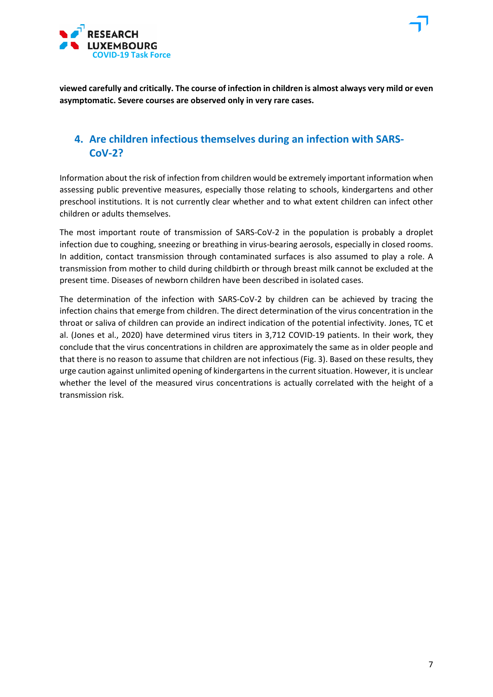



### **4. Are children infectious themselves during an infection with SARS-CoV-2?**

Information about the risk of infection from children would be extremely important information when assessing public preventive measures, especially those relating to schools, kindergartens and other preschool institutions. It is not currently clear whether and to what extent children can infect other children or adults themselves.

The most important route of transmission of SARS-CoV-2 in the population is probably a droplet infection due to coughing, sneezing or breathing in virus-bearing aerosols, especially in closed rooms. In addition, contact transmission through contaminated surfaces is also assumed to play a role. A transmission from mother to child during childbirth or through breast milk cannot be excluded at the present time. Diseases of newborn children have been described in isolated cases.

The determination of the infection with SARS-CoV-2 by children can be achieved by tracing the infection chains that emerge from children. The direct determination of the virus concentration in the throat or saliva of children can provide an indirect indication of the potential infectivity. Jones, TC et al. (Jones et al., 2020) have determined virus titers in 3,712 COVID-19 patients. In their work, they conclude that the virus concentrations in children are approximately the same as in older people and that there is no reason to assume that children are not infectious (Fig. 3). Based on these results, they urge caution against unlimited opening of kindergartens in the current situation. However, it is unclear whether the level of the measured virus concentrations is actually correlated with the height of a transmission risk.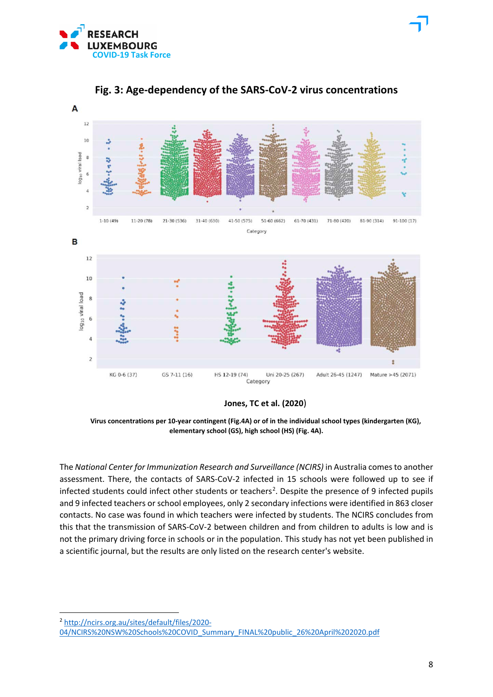



**Fig. 3: Age-dependency of the SARS-CoV-2 virus concentrations**

**Jones, TC et al. (2020**)

 **Virus concentrations per 10-year contingent (Fig.4A) or of in the individual school types (kindergarten (KG), elementary school (GS), high school (HS) (Fig. 4A).**

The *National Center for Immunization Research and Surveillance (NCIRS)* in Australia comes to another assessment. There, the contacts of SARS-CoV-2 infected in 15 schools were followed up to see if infected students could infect other students or teachers<sup>[2](#page-8-0)</sup>. Despite the presence of 9 infected pupils and 9 infected teachers or school employees, only 2 secondary infections were identified in 863 closer contacts. No case was found in which teachers were infected by students. The NCIRS concludes from this that the transmission of SARS-CoV-2 between children and from children to adults is low and is not the primary driving force in schools or in the population. This study has not yet been published in a scientific journal, but the results are only listed on the research center's website.

<span id="page-8-0"></span><sup>2</sup> [http://ncirs.org.au/sites/default/files/2020-](http://ncirs.org.au/sites/default/files/2020-04/NCIRS%20NSW%20Schools%20COVID_Summary_FINAL%20public_26%20April%202020.pdf) [04/NCIRS%20NSW%20Schools%20COVID\\_Summary\\_FINAL%20public\\_26%20April%202020.pdf](http://ncirs.org.au/sites/default/files/2020-04/NCIRS%20NSW%20Schools%20COVID_Summary_FINAL%20public_26%20April%202020.pdf)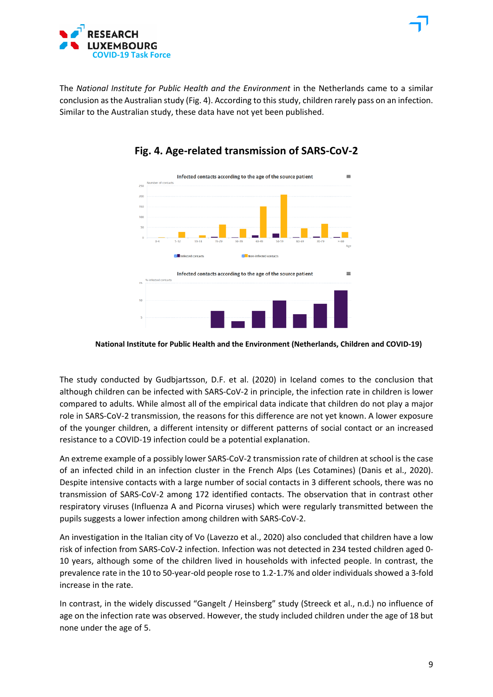



## **Fig. 4. Age-related transmission of SARS-CoV-2**

 **National Institute for Public Health and the Environment (Netherlands, Children and COVID-19)**

The study conducted by Gudbjartsson, D.F. et al. (2020) in Iceland comes to the conclusion that although children can be infected with SARS-CoV-2 in principle, the infection rate in children is lower compared to adults. While almost all of the empirical data indicate that children do not play a major role in SARS-CoV-2 transmission, the reasons for this difference are not yet known. A lower exposure of the younger children, a different intensity or different patterns of social contact or an increased resistance to a COVID-19 infection could be a potential explanation.

An extreme example of a possibly lower SARS-CoV-2 transmission rate of children at school is the case of an infected child in an infection cluster in the French Alps (Les Cotamines) (Danis et al., 2020). Despite intensive contacts with a large number of social contacts in 3 different schools, there was no transmission of SARS-CoV-2 among 172 identified contacts. The observation that in contrast other respiratory viruses (Influenza A and Picorna viruses) which were regularly transmitted between the pupils suggests a lower infection among children with SARS-CoV-2.

An investigation in the Italian city of Vo (Lavezzo et al., 2020) also concluded that children have a low risk of infection from SARS-CoV-2 infection. Infection was not detected in 234 tested children aged 0- 10 years, although some of the children lived in households with infected people. In contrast, the prevalence rate in the 10 to 50-year-old people rose to 1.2-1.7% and older individuals showed a 3-fold increase in the rate.

In contrast, in the widely discussed "Gangelt / Heinsberg" study (Streeck et al., n.d.) no influence of age on the infection rate was observed. However, the study included children under the age of 18 but none under the age of 5.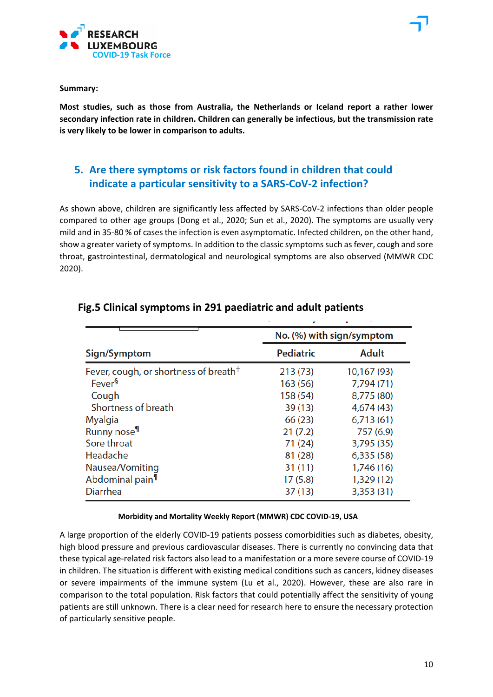

**Summary:**

**Most studies, such as those from Australia, the Netherlands or Iceland report a rather lower secondary infection rate in children. Children can generally be infectious, but the transmission rate is very likely to be lower in comparison to adults.**

# **5. Are there symptoms or risk factors found in children that could indicate a particular sensitivity to a SARS-CoV-2 infection?**

As shown above, children are significantly less affected by SARS-CoV-2 infections than older people compared to other age groups (Dong et al., 2020; Sun et al., 2020). The symptoms are usually very mild and in 35-80 % of cases the infection is even asymptomatic. Infected children, on the other hand, show a greater variety of symptoms. In addition to the classic symptoms such as fever, cough and sore throat, gastrointestinal, dermatological and neurological symptoms are also observed (MMWR CDC 2020).

|                                                   | No. (%) with sign/symptom |              |  |
|---------------------------------------------------|---------------------------|--------------|--|
| Sign/Symptom                                      | <b>Pediatric</b>          | <b>Adult</b> |  |
| Fever, cough, or shortness of breath <sup>†</sup> | 213(73)                   | 10,167 (93)  |  |
| Fever <sup>§</sup>                                | 163 (56)                  | 7,794 (71)   |  |
| Cough                                             | 158 (54)                  | 8,775 (80)   |  |
| Shortness of breath                               | 39(13)                    | 4,674 (43)   |  |
| <b>Myalgia</b>                                    | 66 (23)                   | 6,713(61)    |  |
| Runny nose <sup>¶</sup>                           | 21(7.2)                   | 757 (6.9)    |  |
| Sore throat                                       | 71(24)                    | 3,795 (35)   |  |
| Headache                                          | 81 (28)                   | 6,335(58)    |  |
| Nausea/Vomiting                                   | 31(11)                    | 1,746 (16)   |  |
| Abdominal pain <sup>11</sup>                      | 17(5.8)                   | 1,329 (12)   |  |
| <b>Diarrhea</b>                                   | 37(13)                    | 3,353 (31)   |  |

### **Fig.5 Clinical symptoms in 291 paediatric and adult patients**

#### **Morbidity and Mortality Weekly Report (MMWR) CDC COVID-19, USA**

A large proportion of the elderly COVID-19 patients possess comorbidities such as diabetes, obesity, high blood pressure and previous cardiovascular diseases. There is currently no convincing data that these typical age-related risk factors also lead to a manifestation or a more severe course of COVID-19 in children. The situation is different with existing medical conditions such as cancers, kidney diseases or severe impairments of the immune system (Lu et al., 2020). However, these are also rare in comparison to the total population. Risk factors that could potentially affect the sensitivity of young patients are still unknown. There is a clear need for research here to ensure the necessary protection of particularly sensitive people.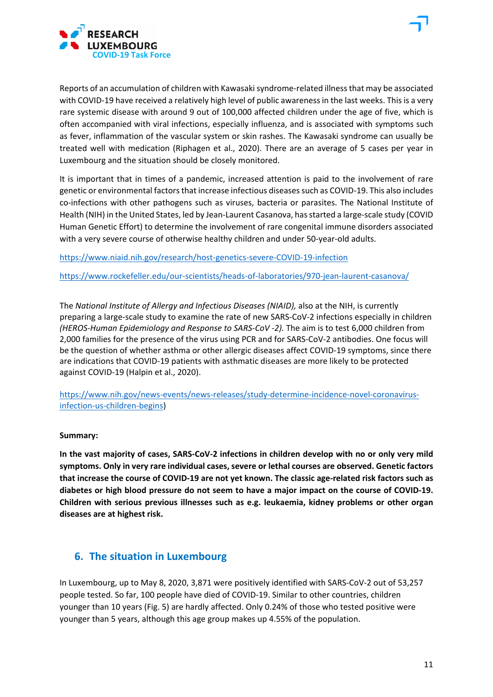



Reports of an accumulation of children with Kawasaki syndrome-related illness that may be associated with COVID-19 have received a relatively high level of public awareness in the last weeks. This is a very rare systemic disease with around 9 out of 100,000 affected children under the age of five, which is often accompanied with viral infections, especially influenza, and is associated with symptoms such as fever, inflammation of the vascular system or skin rashes. The Kawasaki syndrome can usually be treated well with medication (Riphagen et al., 2020). There are an average of 5 cases per year in Luxembourg and the situation should be closely monitored.

It is important that in times of a pandemic, increased attention is paid to the involvement of rare genetic or environmental factors that increase infectious diseases such as COVID-19. This also includes co-infections with other pathogens such as viruses, bacteria or parasites. The National Institute of Health (NIH) in the United States, led by Jean-Laurent Casanova, has started a large-scale study (COVID Human Genetic Effort) to determine the involvement of rare congenital immune disorders associated with a very severe course of otherwise healthy children and under 50-year-old adults.

[https://www.niaid.nih.gov/research/host-genetics-severe-COVID-19-infection](https://www.niaid.nih.gov/research/host-genetics-severe-covid-19-infection)

<https://www.rockefeller.edu/our-scientists/heads-of-laboratories/970-jean-laurent-casanova/>

The *National Institute of Allergy and Infectious Diseases (NIAID),* also at the NIH, is currently preparing a large-scale study to examine the rate of new SARS-CoV-2 infections especially in children *(HEROS-Human Epidemiology and Response to SARS-CoV -2).* The aim is to test 6,000 children from 2,000 families for the presence of the virus using PCR and for SARS-CoV-2 antibodies. One focus will be the question of whether asthma or other allergic diseases affect COVID-19 symptoms, since there are indications that COVID-19 patients with asthmatic diseases are more likely to be protected against COVID-19 (Halpin et al., 2020).

[https://www.nih.gov/news-events/news-releases/study-determine-incidence-novel-coronavirus](https://www.nih.gov/news-events/news-releases/study-determine-incidence-novel-coronavirus-infection-us-children-begins)[infection-us-children-begins\)](https://www.nih.gov/news-events/news-releases/study-determine-incidence-novel-coronavirus-infection-us-children-begins)

#### **Summary:**

**In the vast majority of cases, SARS-CoV-2 infections in children develop with no or only very mild symptoms. Only in very rare individual cases, severe or lethal courses are observed. Genetic factors that increase the course of COVID-19 are not yet known. The classic age-related risk factors such as diabetes or high blood pressure do not seem to have a major impact on the course of COVID-19. Children with serious previous illnesses such as e.g. leukaemia, kidney problems or other organ diseases are at highest risk.**

### **6. The situation in Luxembourg**

In Luxembourg, up to May 8, 2020, 3,871 were positively identified with SARS-CoV-2 out of 53,257 people tested. So far, 100 people have died of COVID-19. Similar to other countries, children younger than 10 years (Fig. 5) are hardly affected. Only 0.24% of those who tested positive were younger than 5 years, although this age group makes up 4.55% of the population.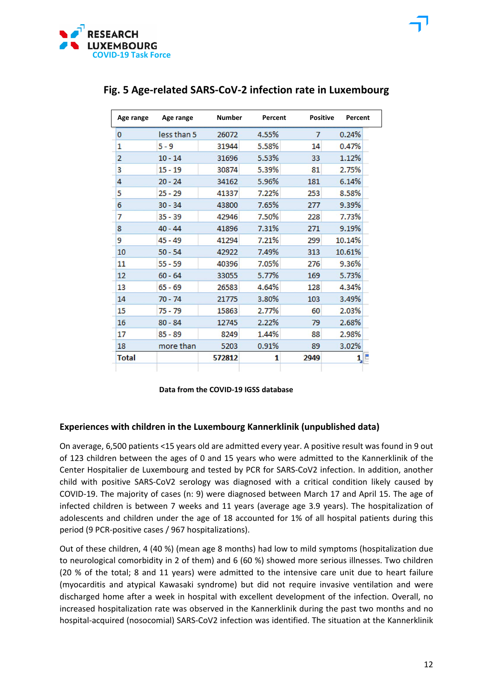

| Age range      | Age range   | <b>Number</b> | Percent | <b>Positive</b> | Percent |
|----------------|-------------|---------------|---------|-----------------|---------|
| 0              | less than 5 | 26072         | 4.55%   | 7               | 0.24%   |
| 1              | $5 - 9$     | 31944         | 5.58%   | 14              | 0.47%   |
| $\overline{2}$ | $10 - 14$   | 31696         | 5.53%   | 33              | 1.12%   |
| 3              | $15 - 19$   | 30874         | 5.39%   | 81              | 2.75%   |
| 4              | $20 - 24$   | 34162         | 5.96%   | 181             | 6.14%   |
| 5              | $25 - 29$   | 41337         | 7.22%   | 253             | 8.58%   |
| 6              | $30 - 34$   | 43800         | 7.65%   | 277             | 9.39%   |
| 7              | $35 - 39$   | 42946         | 7.50%   | 228             | 7.73%   |
| 8              | $40 - 44$   | 41896         | 7.31%   | 271             | 9.19%   |
| 9              | $45 - 49$   | 41294         | 7.21%   | 299             | 10.14%  |
| 10             | $50 - 54$   | 42922         | 7.49%   | 313             | 10.61%  |
| 11             | $55 - 59$   | 40396         | 7.05%   | 276             | 9.36%   |
| 12             | $60 - 64$   | 33055         | 5.77%   | 169             | 5.73%   |
| 13             | $65 - 69$   | 26583         | 4.64%   | 128             | 4.34%   |
| 14             | $70 - 74$   | 21775         | 3.80%   | 103             | 3.49%   |
| 15             | 75 - 79     | 15863         | 2.77%   | 60              | 2.03%   |
| 16             | $80 - 84$   | 12745         | 2.22%   | 79              | 2.68%   |
| 17             | $85 - 89$   | 8249          | 1.44%   | 88              | 2.98%   |
| 18             | more than   | 5203          | 0.91%   | 89              | 3.02%   |
| <b>Total</b>   |             | 572812        | 1       | 2949            |         |

### **Fig. 5 Age-related SARS-CoV-2 infection rate in Luxembourg**

| Data from the COVID-19 IGSS database |
|--------------------------------------|
|                                      |

#### **Experiences with children in the Luxembourg Kannerklinik (unpublished data)**

On average, 6,500 patients <15 years old are admitted every year. A positive result was found in 9 out of 123 children between the ages of 0 and 15 years who were admitted to the Kannerklinik of the Center Hospitalier de Luxembourg and tested by PCR for SARS-CoV2 infection. In addition, another child with positive SARS-CoV2 serology was diagnosed with a critical condition likely caused by COVID-19. The majority of cases (n: 9) were diagnosed between March 17 and April 15. The age of infected children is between 7 weeks and 11 years (average age 3.9 years). The hospitalization of adolescents and children under the age of 18 accounted for 1% of all hospital patients during this period (9 PCR-positive cases / 967 hospitalizations).

Out of these children, 4 (40 %) (mean age 8 months) had low to mild symptoms (hospitalization due to neurological comorbidity in 2 of them) and 6 (60 %) showed more serious illnesses. Two children (20 % of the total; 8 and 11 years) were admitted to the intensive care unit due to heart failure (myocarditis and atypical Kawasaki syndrome) but did not require invasive ventilation and were discharged home after a week in hospital with excellent development of the infection. Overall, no increased hospitalization rate was observed in the Kannerklinik during the past two months and no hospital-acquired (nosocomial) SARS-CoV2 infection was identified. The situation at the Kannerklinik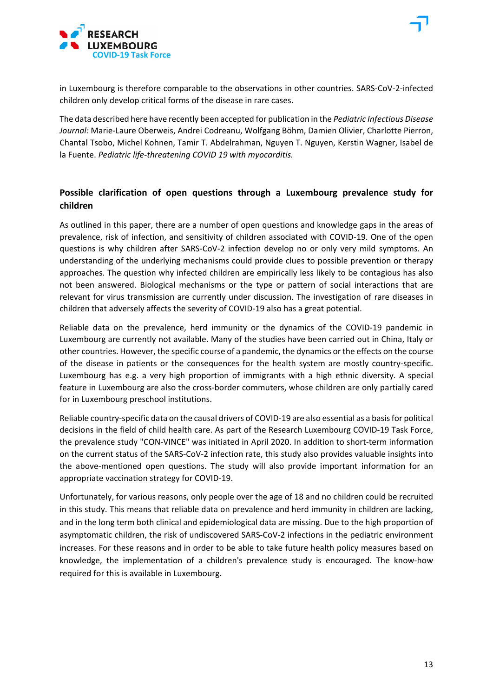

in Luxembourg is therefore comparable to the observations in other countries. SARS-CoV-2-infected children only develop critical forms of the disease in rare cases.

The data described here have recently been accepted for publication in the *Pediatric Infectious Disease Journal:* Marie-Laure Oberweis, Andrei Codreanu, Wolfgang Böhm, Damien Olivier, Charlotte Pierron, Chantal Tsobo, Michel Kohnen, Tamir T. Abdelrahman, Nguyen T. Nguyen, Kerstin Wagner, Isabel de la Fuente. *Pediatric life-threatening COVID 19 with myocarditis.*

### **Possible clarification of open questions through a Luxembourg prevalence study for children**

As outlined in this paper, there are a number of open questions and knowledge gaps in the areas of prevalence, risk of infection, and sensitivity of children associated with COVID-19. One of the open questions is why children after SARS-CoV-2 infection develop no or only very mild symptoms. An understanding of the underlying mechanisms could provide clues to possible prevention or therapy approaches. The question why infected children are empirically less likely to be contagious has also not been answered. Biological mechanisms or the type or pattern of social interactions that are relevant for virus transmission are currently under discussion. The investigation of rare diseases in children that adversely affects the severity of COVID-19 also has a great potential.

Reliable data on the prevalence, herd immunity or the dynamics of the COVID-19 pandemic in Luxembourg are currently not available. Many of the studies have been carried out in China, Italy or other countries. However, the specific course of a pandemic, the dynamics or the effects on the course of the disease in patients or the consequences for the health system are mostly country-specific. Luxembourg has e.g. a very high proportion of immigrants with a high ethnic diversity. A special feature in Luxembourg are also the cross-border commuters, whose children are only partially cared for in Luxembourg preschool institutions.

Reliable country-specific data on the causal drivers of COVID-19 are also essential as a basis for political decisions in the field of child health care. As part of the Research Luxembourg COVID-19 Task Force, the prevalence study "CON-VINCE" was initiated in April 2020. In addition to short-term information on the current status of the SARS-CoV-2 infection rate, this study also provides valuable insights into the above-mentioned open questions. The study will also provide important information for an appropriate vaccination strategy for COVID-19.

Unfortunately, for various reasons, only people over the age of 18 and no children could be recruited in this study. This means that reliable data on prevalence and herd immunity in children are lacking, and in the long term both clinical and epidemiological data are missing. Due to the high proportion of asymptomatic children, the risk of undiscovered SARS-CoV-2 infections in the pediatric environment increases. For these reasons and in order to be able to take future health policy measures based on knowledge, the implementation of a children's prevalence study is encouraged. The know-how required for this is available in Luxembourg.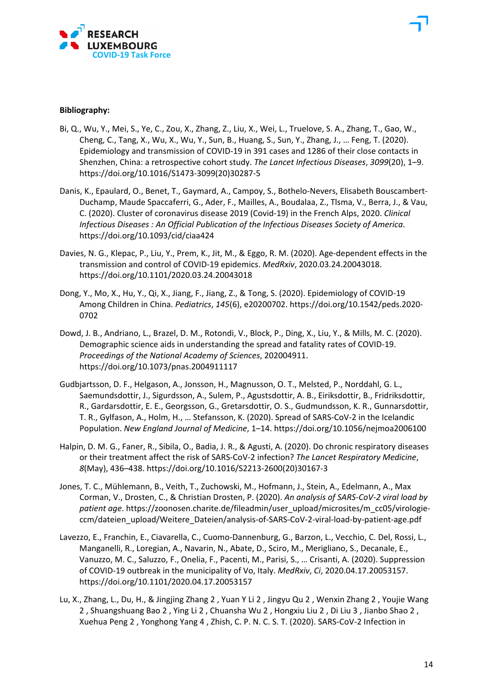

#### **Bibliography:**

- Bi, Q., Wu, Y., Mei, S., Ye, C., Zou, X., Zhang, Z., Liu, X., Wei, L., Truelove, S. A., Zhang, T., Gao, W., Cheng, C., Tang, X., Wu, X., Wu, Y., Sun, B., Huang, S., Sun, Y., Zhang, J., … Feng, T. (2020). Epidemiology and transmission of COVID-19 in 391 cases and 1286 of their close contacts in Shenzhen, China: a retrospective cohort study. *The Lancet Infectious Diseases*, *3099*(20), 1–9. https://doi.org/10.1016/S1473-3099(20)30287-5
- Danis, K., Epaulard, O., Benet, T., Gaymard, A., Campoy, S., Bothelo-Nevers, Elisabeth Bouscambert-Duchamp, Maude Spaccaferri, G., Ader, F., Mailles, A., Boudalaa, Z., Tlsma, V., Berra, J., & Vau, C. (2020). Cluster of coronavirus disease 2019 (Covid-19) in the French Alps, 2020. *Clinical Infectious Diseases : An Official Publication of the Infectious Diseases Society of America*. https://doi.org/10.1093/cid/ciaa424
- Davies, N. G., Klepac, P., Liu, Y., Prem, K., Jit, M., & Eggo, R. M. (2020). Age-dependent effects in the transmission and control of COVID-19 epidemics. *MedRxiv*, 2020.03.24.20043018. https://doi.org/10.1101/2020.03.24.20043018
- Dong, Y., Mo, X., Hu, Y., Qi, X., Jiang, F., Jiang, Z., & Tong, S. (2020). Epidemiology of COVID-19 Among Children in China. *Pediatrics*, *145*(6), e20200702. https://doi.org/10.1542/peds.2020- 0702
- Dowd, J. B., Andriano, L., Brazel, D. M., Rotondi, V., Block, P., Ding, X., Liu, Y., & Mills, M. C. (2020). Demographic science aids in understanding the spread and fatality rates of COVID-19. *Proceedings of the National Academy of Sciences*, 202004911. https://doi.org/10.1073/pnas.2004911117
- Gudbjartsson, D. F., Helgason, A., Jonsson, H., Magnusson, O. T., Melsted, P., Norddahl, G. L., Saemundsdottir, J., Sigurdsson, A., Sulem, P., Agustsdottir, A. B., Eiriksdottir, B., Fridriksdottir, R., Gardarsdottir, E. E., Georgsson, G., Gretarsdottir, O. S., Gudmundsson, K. R., Gunnarsdottir, T. R., Gylfason, A., Holm, H., … Stefansson, K. (2020). Spread of SARS-CoV-2 in the Icelandic Population. *New England Journal of Medicine*, 1–14. https://doi.org/10.1056/nejmoa2006100
- Halpin, D. M. G., Faner, R., Sibila, O., Badia, J. R., & Agusti, A. (2020). Do chronic respiratory diseases or their treatment affect the risk of SARS-CoV-2 infection? *The Lancet Respiratory Medicine*, *8*(May), 436–438. https://doi.org/10.1016/S2213-2600(20)30167-3
- Jones, T. C., Mühlemann, B., Veith, T., Zuchowski, M., Hofmann, J., Stein, A., Edelmann, A., Max Corman, V., Drosten, C., & Christian Drosten, P. (2020). *An analysis of SARS-CoV-2 viral load by patient age*. https://zoonosen.charite.de/fileadmin/user\_upload/microsites/m\_cc05/virologieccm/dateien\_upload/Weitere\_Dateien/analysis-of-SARS-CoV-2-viral-load-by-patient-age.pdf
- Lavezzo, E., Franchin, E., Ciavarella, C., Cuomo-Dannenburg, G., Barzon, L., Vecchio, C. Del, Rossi, L., Manganelli, R., Loregian, A., Navarin, N., Abate, D., Sciro, M., Merigliano, S., Decanale, E., Vanuzzo, M. C., Saluzzo, F., Onelia, F., Pacenti, M., Parisi, S., … Crisanti, A. (2020). Suppression of COVID-19 outbreak in the municipality of Vo, Italy. *MedRxiv*, *Ci*, 2020.04.17.20053157. https://doi.org/10.1101/2020.04.17.20053157
- Lu, X., Zhang, L., Du, H., & Jingjing Zhang 2 , Yuan Y Li 2 , Jingyu Qu 2 , Wenxin Zhang 2 , Youjie Wang 2 , Shuangshuang Bao 2 , Ying Li 2 , Chuansha Wu 2 , Hongxiu Liu 2 , Di Liu 3 , Jianbo Shao 2 , Xuehua Peng 2 , Yonghong Yang 4 , Zhish, C. P. N. C. S. T. (2020). SARS-CoV-2 Infection in